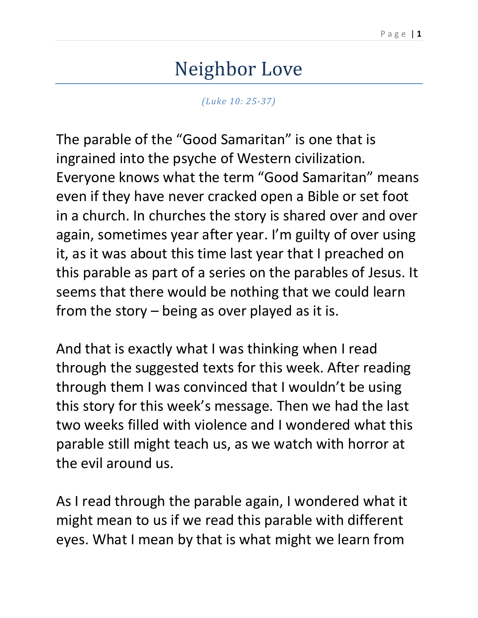## Neighbor Love

*(Luke 10: 25-37)*

The parable of the "Good Samaritan" is one that is ingrained into the psyche of Western civilization. Everyone knows what the term "Good Samaritan" means even if they have never cracked open a Bible or set foot in a church. In churches the story is shared over and over again, sometimes year after year. I'm guilty of over using it, as it was about this time last year that I preached on this parable as part of a series on the parables of Jesus. It seems that there would be nothing that we could learn from the story – being as over played as it is.

And that is exactly what I was thinking when I read through the suggested texts for this week. After reading through them I was convinced that I wouldn't be using this story for this week's message. Then we had the last two weeks filled with violence and I wondered what this parable still might teach us, as we watch with horror at the evil around us.

As I read through the parable again, I wondered what it might mean to us if we read this parable with different eyes. What I mean by that is what might we learn from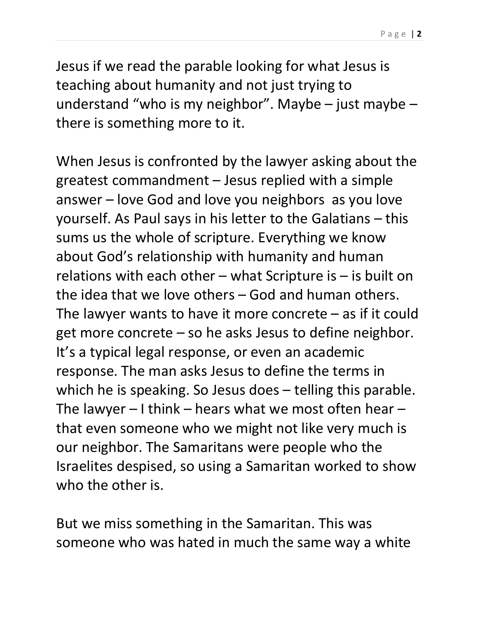Jesus if we read the parable looking for what Jesus is teaching about humanity and not just trying to understand "who is my neighbor". Maybe – just maybe – there is something more to it.

When Jesus is confronted by the lawyer asking about the greatest commandment – Jesus replied with a simple answer – love God and love you neighbors as you love yourself. As Paul says in his letter to the Galatians – this sums us the whole of scripture. Everything we know about God's relationship with humanity and human relations with each other – what Scripture is  $-$  is built on the idea that we love others – God and human others. The lawyer wants to have it more concrete – as if it could get more concrete – so he asks Jesus to define neighbor. It's a typical legal response, or even an academic response. The man asks Jesus to define the terms in which he is speaking. So Jesus does – telling this parable. The lawyer  $-1$  think – hears what we most often hear – that even someone who we might not like very much is our neighbor. The Samaritans were people who the Israelites despised, so using a Samaritan worked to show who the other is.

But we miss something in the Samaritan. This was someone who was hated in much the same way a white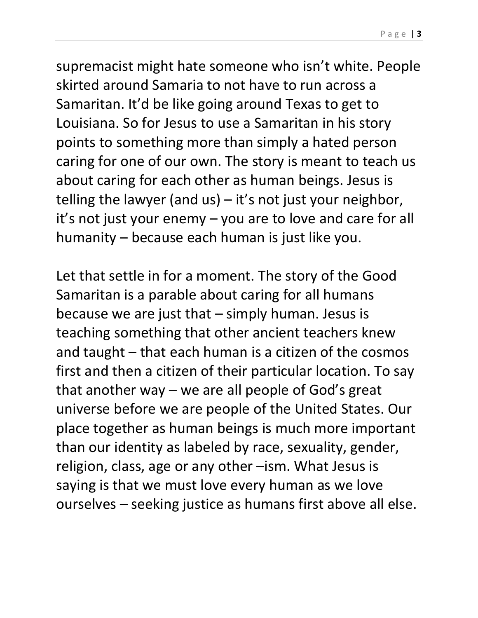supremacist might hate someone who isn't white. People skirted around Samaria to not have to run across a Samaritan. It'd be like going around Texas to get to Louisiana. So for Jesus to use a Samaritan in his story points to something more than simply a hated person caring for one of our own. The story is meant to teach us about caring for each other as human beings. Jesus is telling the lawyer (and us) – it's not just your neighbor, it's not just your enemy – you are to love and care for all humanity – because each human is just like you.

Let that settle in for a moment. The story of the Good Samaritan is a parable about caring for all humans because we are just that  $-$  simply human. Jesus is teaching something that other ancient teachers knew and taught – that each human is a citizen of the cosmos first and then a citizen of their particular location. To say that another way – we are all people of God's great universe before we are people of the United States. Our place together as human beings is much more important than our identity as labeled by race, sexuality, gender, religion, class, age or any other –ism. What Jesus is saying is that we must love every human as we love ourselves – seeking justice as humans first above all else.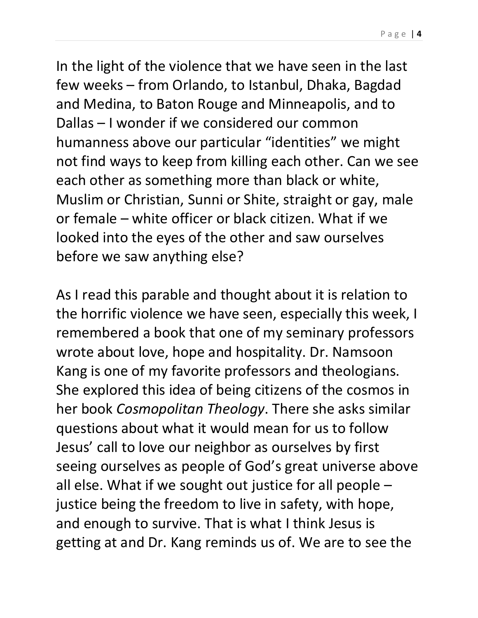In the light of the violence that we have seen in the last few weeks – from Orlando, to Istanbul, Dhaka, Bagdad and Medina, to Baton Rouge and Minneapolis, and to Dallas – I wonder if we considered our common humanness above our particular "identities" we might not find ways to keep from killing each other. Can we see

each other as something more than black or white, Muslim or Christian, Sunni or Shite, straight or gay, male or female – white officer or black citizen. What if we looked into the eyes of the other and saw ourselves before we saw anything else?

As I read this parable and thought about it is relation to the horrific violence we have seen, especially this week, I remembered a book that one of my seminary professors wrote about love, hope and hospitality. Dr. Namsoon Kang is one of my favorite professors and theologians. She explored this idea of being citizens of the cosmos in her book *Cosmopolitan Theology*. There she asks similar questions about what it would mean for us to follow Jesus' call to love our neighbor as ourselves by first seeing ourselves as people of God's great universe above all else. What if we sought out justice for all people – justice being the freedom to live in safety, with hope, and enough to survive. That is what I think Jesus is getting at and Dr. Kang reminds us of. We are to see the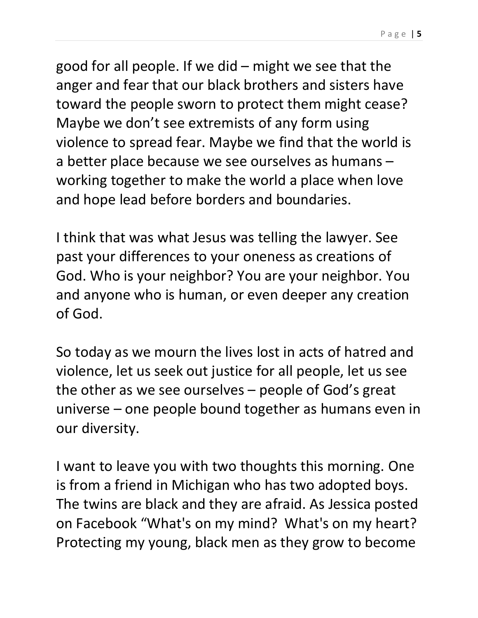good for all people. If we did – might we see that the anger and fear that our black brothers and sisters have toward the people sworn to protect them might cease? Maybe we don't see extremists of any form using violence to spread fear. Maybe we find that the world is a better place because we see ourselves as humans – working together to make the world a place when love and hope lead before borders and boundaries.

I think that was what Jesus was telling the lawyer. See past your differences to your oneness as creations of God. Who is your neighbor? You are your neighbor. You and anyone who is human, or even deeper any creation of God.

So today as we mourn the lives lost in acts of hatred and violence, let us seek out justice for all people, let us see the other as we see ourselves – people of God's great universe – one people bound together as humans even in our diversity.

I want to leave you with two thoughts this morning. One is from a friend in Michigan who has two adopted boys. The twins are black and they are afraid. As Jessica posted on Facebook "What's on my mind? What's on my heart? Protecting my young, black men as they grow to become